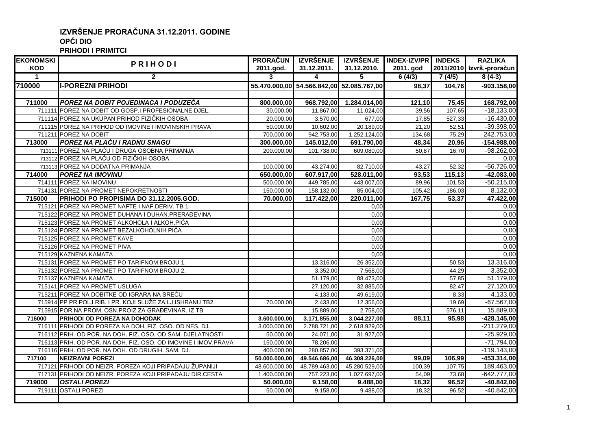## **IZVRŠENJE PRORAČUNA 31.12.2011. GODINE OPĆI DIO**

**PRIHODI I PRIMITCI**

| <b>EKONOMSKI</b> |                                                                | <b>PRORAČUN</b> | <b>IZVRŠENJE</b>                          |                         | IZVRŠENJE INDEX-IZV/PR INDEKS |        | <b>RAZLIKA</b>            |
|------------------|----------------------------------------------------------------|-----------------|-------------------------------------------|-------------------------|-------------------------------|--------|---------------------------|
| <b>KOD</b>       | PRIHODI                                                        | 2011.god.       | 31.12.2011.                               | 31.12.2010.             | 2011. god                     |        | 2011/2010 izvrš.-proračun |
| $\overline{1}$   | $\overline{2}$                                                 | 3               | $\overline{\mathbf{4}}$                   | $\overline{\mathbf{5}}$ | 6(4/3)                        | 7(4/5) | $8(4-3)$                  |
| 710000           | <b>I-POREZNI PRIHODI</b>                                       |                 | 55.470.000,00 54.566.842,00 52.085.767,00 |                         | 98,37                         | 104,76 | $-903.158,00$             |
|                  |                                                                |                 |                                           |                         |                               |        |                           |
| 711000           | POREZ NA DOBIT POJEDINACA I PODUZEĆA                           | 800.000,00      | 968.792,00                                | 1.284.014,00            | 121,10                        | 75,45  | 168.792,00                |
|                  | 711111 POREZ NA DOBIT OD GOSP.I PROFESIONALNE DJEL.            | 30.000,00       | 11.867,00                                 | 11.024,00               | 39,56                         | 107,65 | $-18.133,00$              |
|                  | 711114 POREZ NA UKUPAN PRIHOD FIZIČKIH OSOBA                   | 20.000,00       | 3.570,00                                  | 677,00                  | 17,85                         | 527,33 | $-16.430,00$              |
|                  | 711115 POREZ NA PRIHOD OD IMOVINE I IMOVINSKIH PRAVA           | 50.000,00       | 10.602,00                                 | 20.189,00               | 21,20                         | 52,51  | $-39.398,00$              |
|                  | 711211 POREZ NA DOBIT                                          | 700.000,00      | 942.753,00                                | 1.252.124,00            | 134,68                        | 75,29  | 242.753,00                |
| 713000           | <b>POREZ NA PLAĆU I RADNU SNAGU</b>                            | 300.000,00      | 145.012,00                                | 691.790,00              | 48,34                         | 20,96  | $-154.988,00$             |
|                  | 713111 POREZ NA PLAĆU I DRUGA OSOBNA PRIMANJA                  | 200.000,00      | 101.738,00                                | 609.080,00              | 50,87                         | 16,70  | $-98.262,00$              |
|                  | 713112 POREZ NA PLAĆU OD FIZIČKIH OSOBA                        |                 |                                           |                         |                               |        | 0.00                      |
|                  | 713113 POREZ NA DODATNA PRIMANJA                               | 100.000,00      | 43.274,00                                 | 82.710,00               | 43,27                         | 52,32  | $-56.726,00$              |
| 714000           | <b>POREZ NA IMOVINU</b>                                        | 650.000,00      | 607.917,00                                | 528.011,00              | 93,53                         | 115,13 | $-42.083,00$              |
|                  | 714111 POREZ NA IMOVINU                                        | 500.000,00      | 449.785,00                                | 443.007,00              | 89,96                         | 101,53 | $-50.215,00$              |
|                  | 714131 POREZ NA PROMET NEPOKRETNOSTI                           | 150.000,00      | 158.132,00                                | 85.004,00               | 105,42                        | 186,03 | 8.132,00                  |
| 715000           | PRIHODI PO PROPISIMA DO 31.12.2005.GOD.                        | 70.000,00       | 117.422,00                                | 220.011,00              | 167,75                        | 53,37  | 47.422,00                 |
|                  | 715121 POREZ NA PROMET NAFTE I NAF.DERIV. TB 1                 |                 |                                           | 0,00                    |                               |        | 0,00                      |
|                  | 715122 POREZ NA PROMET DUHANA I DUHAN.PRERAĐEVINA              |                 |                                           | 0,00                    |                               |        | 0,00                      |
|                  | 715123 POREZ NA PROMET ALKOHOLA I ALKOH.PIĆA                   |                 |                                           | 0,00                    |                               |        | 0,00                      |
|                  | 715124 POREZ NA PROMET BEZALKOHOLNIH PIĆA                      |                 |                                           | 0,00                    |                               |        | 0,00                      |
|                  | 715125 POREZ NA PROMET KAVE                                    |                 |                                           | 0,00                    |                               |        | 0,00                      |
|                  | 715126 POREZ NA PROMET PIVA                                    |                 |                                           | 0,00                    |                               |        | 0,00                      |
|                  | 715129 KAZNENA KAMATA                                          |                 |                                           | 0,00                    |                               |        | 0,00                      |
|                  | 715131 POREZ NA PROMET PO TARIFNOM BROJU 1.                    |                 | 13.316,00                                 | 26.352,00               |                               | 50,53  | 13.316,00                 |
|                  | 715132 POREZ NA PROMET PO TARIFNOM BROJU 2.                    |                 | 3.352,00                                  | 7.568,00                |                               | 44,29  | 3.352,00                  |
|                  | 715137 KAZNENA KAMATA                                          |                 | 51.179,00                                 | 88.473,00               |                               | 57,85  | 51.179,00                 |
|                  | 715141 POREZ NA PROMET USLUGA                                  |                 | 27.120,00                                 | 32.885,00               |                               | 82,47  | 27.120,00                 |
|                  | 715211 POREZ NA DOBITKE OD IGRARA NA SREĆU                     |                 | 4.133,00                                  | 49.619,00               |                               | 8,33   | 4.133,00                  |
|                  | 715914 PP PR.POLJ.RIB. I PR. KOJI SLUŽE ZA LJ.ISHRANU TB2.     | 70.000,00       | 2.433,00                                  | 12.356,00               |                               | 19,69  | $-67.567,00$              |
|                  | 715915 POR.NA PROM. OSN.PROIZ.ZA GRAĐEVINAR. IZ TB             |                 | 15.889,00                                 | 2.758,00                |                               | 576,11 | 15.889,00                 |
| 716000           | PRIHODI OD POREZA NA DOHODAK                                   | 3.600.000,00    | 3.171.855,00                              | 3.044.227,00            | 88,11                         | 95,98  | $-428.145,00$             |
|                  | 716111 PRIHODI OD POREZA NA DOH. FIZ. OSO. OD NES. DJ.         | 3.000.000,00    | 2.788.721,00                              | 2.618.929,00            |                               |        | $-211.279,00$             |
|                  | 716112 PRIH. OD POR. NA DOH. FIZ. OSO. OD SAM. DJELATNOSTI     | 50.000,00       | 24.071,00                                 | 31.927,00               |                               |        | $-25.929,00$              |
|                  | 716113 PRIH. OD POR. NA DOH. FIZ. OSO. OD IMOVINE I IMOV.PRAVA | 150.000,00      | 78.206,00                                 |                         |                               |        | $-71.794,00$              |
|                  | 716116 PRIH. OD POR. NA DOH. OD DRUGIH. SAM. DJ.               | 400.000,00      | 280.857,00                                | 393.371,00              |                               |        | $-119.143,00$             |
| 717100           | <b>NEIZRAVNI POREZI</b>                                        | 50.000.000,00   | 49.546.686,00                             | 46.308.226,00           | 99,09                         | 106,99 | $-453.314,00$             |
|                  | 717121 PRIHODI OD NEIZR. POREZA KOJI PRIPADAJU ŽUPANIJI        | 48.600.000,00   | 48.789.463,00                             | 45.280.529,00           | 100,39                        | 107,75 | 189.463,00                |
|                  | 717131 PRIHODI OD NEIZR. POREZA KOJI PRIPADAJU DIR.CESTA       | 1.400.000,00    | 757.223,00                                | 1.027.697,00            | 54,09                         | 73,68  | $-642.777,00$             |
| 719000           | <b>OSTALI POREZI</b>                                           | 50.000,00       | 9.158,00                                  | 9.488,00                | 18,32                         | 96,52  | $-40.842,00$              |
| 719111           | <b>OSTALI POREZI</b>                                           | 50.000,00       | 9.158,00                                  | 9.488,00                | 18,32                         | 96,52  | $-40.842,00$              |
|                  |                                                                |                 |                                           |                         |                               |        |                           |